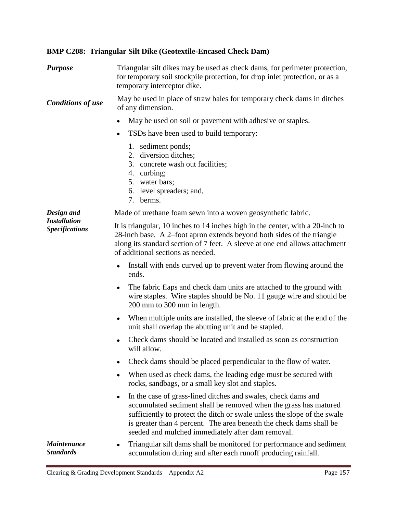## **BMP C208: Triangular Silt Dike (Geotextile-Encased Check Dam)**

| <b>Purpose</b>                                             | Triangular silt dikes may be used as check dams, for perimeter protection,<br>for temporary soil stockpile protection, for drop inlet protection, or as a<br>temporary interceptor dike.                                                                                                                                                       |
|------------------------------------------------------------|------------------------------------------------------------------------------------------------------------------------------------------------------------------------------------------------------------------------------------------------------------------------------------------------------------------------------------------------|
| <b>Conditions of use</b>                                   | May be used in place of straw bales for temporary check dams in ditches<br>of any dimension.                                                                                                                                                                                                                                                   |
|                                                            | May be used on soil or pavement with adhesive or staples.<br>$\bullet$                                                                                                                                                                                                                                                                         |
|                                                            | TSDs have been used to build temporary:<br>$\bullet$                                                                                                                                                                                                                                                                                           |
|                                                            | 1. sediment ponds;<br>2. diversion ditches;<br>3. concrete wash out facilities;<br>4. curbing;<br>5. water bars;<br>6. level spreaders; and,<br>7. berms.                                                                                                                                                                                      |
| Design and<br><b>Installation</b><br><b>Specifications</b> | Made of urethane foam sewn into a woven geosynthetic fabric.                                                                                                                                                                                                                                                                                   |
|                                                            | It is triangular, 10 inches to 14 inches high in the center, with a 20-inch to<br>28-inch base. A 2-foot apron extends beyond both sides of the triangle<br>along its standard section of 7 feet. A sleeve at one end allows attachment<br>of additional sections as needed.                                                                   |
|                                                            | Install with ends curved up to prevent water from flowing around the<br>$\bullet$<br>ends.                                                                                                                                                                                                                                                     |
|                                                            | The fabric flaps and check dam units are attached to the ground with<br>٠<br>wire staples. Wire staples should be No. 11 gauge wire and should be<br>200 mm to 300 mm in length.                                                                                                                                                               |
|                                                            | When multiple units are installed, the sleeve of fabric at the end of the<br>$\bullet$<br>unit shall overlap the abutting unit and be stapled.                                                                                                                                                                                                 |
|                                                            | Check dams should be located and installed as soon as construction<br>will allow.                                                                                                                                                                                                                                                              |
|                                                            | Check dams should be placed perpendicular to the flow of water.                                                                                                                                                                                                                                                                                |
|                                                            | When used as check dams, the leading edge must be secured with<br>rocks, sandbags, or a small key slot and staples.                                                                                                                                                                                                                            |
|                                                            | In the case of grass-lined ditches and swales, check dams and<br>٠<br>accumulated sediment shall be removed when the grass has matured<br>sufficiently to protect the ditch or swale unless the slope of the swale<br>is greater than 4 percent. The area beneath the check dams shall be<br>seeded and mulched immediately after dam removal. |
| <b>Maintenance</b><br><b>Standards</b>                     | Triangular silt dams shall be monitored for performance and sediment<br>accumulation during and after each runoff producing rainfall.                                                                                                                                                                                                          |